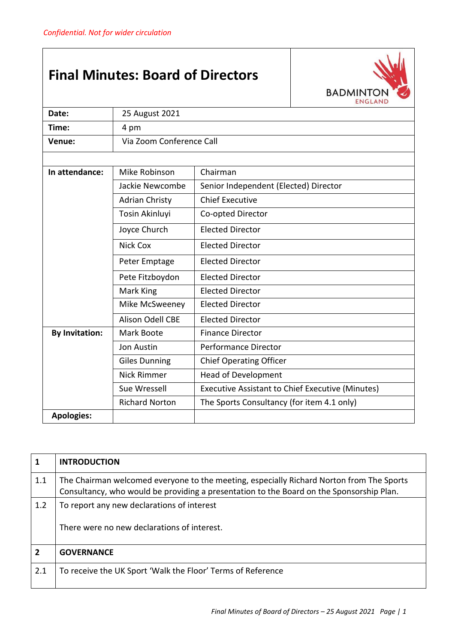## **Final Minutes: Board of Directors**



| Date:                               | 25 August 2021                          |                                                  |  |
|-------------------------------------|-----------------------------------------|--------------------------------------------------|--|
| Time:                               | 4 pm                                    |                                                  |  |
| Venue:                              | Via Zoom Conference Call                |                                                  |  |
|                                     |                                         |                                                  |  |
| In attendance:                      | Mike Robinson                           | Chairman                                         |  |
|                                     | Jackie Newcombe                         | Senior Independent (Elected) Director            |  |
|                                     | <b>Adrian Christy</b>                   | <b>Chief Executive</b>                           |  |
|                                     | Tosin Akinluyi                          | Co-opted Director                                |  |
|                                     | Joyce Church<br><b>Elected Director</b> |                                                  |  |
| <b>Nick Cox</b><br>Elected Director |                                         |                                                  |  |
|                                     | Peter Emptage                           | <b>Elected Director</b>                          |  |
|                                     | Pete Fitzboydon                         | <b>Elected Director</b>                          |  |
|                                     | Mark King                               | <b>Elected Director</b>                          |  |
|                                     | Mike McSweeney                          | <b>Elected Director</b>                          |  |
|                                     | <b>Alison Odell CBE</b>                 | <b>Elected Director</b>                          |  |
| <b>By Invitation:</b>               | Mark Boote                              | <b>Finance Director</b>                          |  |
|                                     | <b>Jon Austin</b>                       | <b>Performance Director</b>                      |  |
|                                     | <b>Giles Dunning</b>                    | <b>Chief Operating Officer</b>                   |  |
|                                     | <b>Nick Rimmer</b>                      | <b>Head of Development</b>                       |  |
|                                     | Sue Wressell                            | Executive Assistant to Chief Executive (Minutes) |  |
|                                     | <b>Richard Norton</b>                   | The Sports Consultancy (for item 4.1 only)       |  |
| <b>Apologies:</b>                   |                                         |                                                  |  |

| $\mathbf{1}$   | <b>INTRODUCTION</b>                                                                                                                                                                  |
|----------------|--------------------------------------------------------------------------------------------------------------------------------------------------------------------------------------|
| 1.1            | The Chairman welcomed everyone to the meeting, especially Richard Norton from The Sports<br>Consultancy, who would be providing a presentation to the Board on the Sponsorship Plan. |
| 1.2            | To report any new declarations of interest                                                                                                                                           |
|                | There were no new declarations of interest.                                                                                                                                          |
| $\overline{2}$ | <b>GOVERNANCE</b>                                                                                                                                                                    |
| 2.1            | To receive the UK Sport 'Walk the Floor' Terms of Reference                                                                                                                          |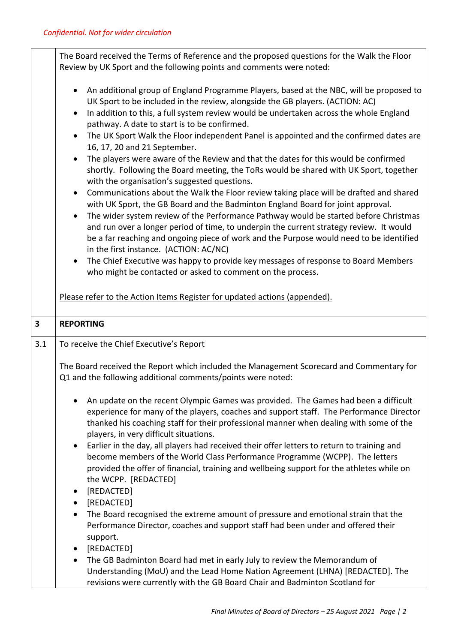|              | The Board received the Terms of Reference and the proposed questions for the Walk the Floor<br>Review by UK Sport and the following points and comments were noted:                                                                                                                                                                                                                                                                                                                                                                                                                                                                                                                                                                                                                                                                                                                                                                                                                                                                                                                                                                                                                                                                    |  |  |
|--------------|----------------------------------------------------------------------------------------------------------------------------------------------------------------------------------------------------------------------------------------------------------------------------------------------------------------------------------------------------------------------------------------------------------------------------------------------------------------------------------------------------------------------------------------------------------------------------------------------------------------------------------------------------------------------------------------------------------------------------------------------------------------------------------------------------------------------------------------------------------------------------------------------------------------------------------------------------------------------------------------------------------------------------------------------------------------------------------------------------------------------------------------------------------------------------------------------------------------------------------------|--|--|
|              | An additional group of England Programme Players, based at the NBC, will be proposed to<br>$\bullet$<br>UK Sport to be included in the review, alongside the GB players. (ACTION: AC)<br>In addition to this, a full system review would be undertaken across the whole England<br>$\bullet$<br>pathway. A date to start is to be confirmed.<br>The UK Sport Walk the Floor independent Panel is appointed and the confirmed dates are<br>$\bullet$<br>16, 17, 20 and 21 September.<br>The players were aware of the Review and that the dates for this would be confirmed<br>$\bullet$<br>shortly. Following the Board meeting, the ToRs would be shared with UK Sport, together<br>with the organisation's suggested questions.<br>Communications about the Walk the Floor review taking place will be drafted and shared<br>with UK Sport, the GB Board and the Badminton England Board for joint approval.<br>The wider system review of the Performance Pathway would be started before Christmas<br>and run over a longer period of time, to underpin the current strategy review. It would<br>be a far reaching and ongoing piece of work and the Purpose would need to be identified<br>in the first instance. (ACTION: AC/NC) |  |  |
|              | The Chief Executive was happy to provide key messages of response to Board Members<br>$\bullet$<br>who might be contacted or asked to comment on the process.                                                                                                                                                                                                                                                                                                                                                                                                                                                                                                                                                                                                                                                                                                                                                                                                                                                                                                                                                                                                                                                                          |  |  |
|              | Please refer to the Action Items Register for updated actions (appended).                                                                                                                                                                                                                                                                                                                                                                                                                                                                                                                                                                                                                                                                                                                                                                                                                                                                                                                                                                                                                                                                                                                                                              |  |  |
| $\mathbf{3}$ | <b>REPORTING</b>                                                                                                                                                                                                                                                                                                                                                                                                                                                                                                                                                                                                                                                                                                                                                                                                                                                                                                                                                                                                                                                                                                                                                                                                                       |  |  |
| 3.1          | To receive the Chief Executive's Report                                                                                                                                                                                                                                                                                                                                                                                                                                                                                                                                                                                                                                                                                                                                                                                                                                                                                                                                                                                                                                                                                                                                                                                                |  |  |
|              | The Board received the Report which included the Management Scorecard and Commentary for                                                                                                                                                                                                                                                                                                                                                                                                                                                                                                                                                                                                                                                                                                                                                                                                                                                                                                                                                                                                                                                                                                                                               |  |  |
|              | Q1 and the following additional comments/points were noted:                                                                                                                                                                                                                                                                                                                                                                                                                                                                                                                                                                                                                                                                                                                                                                                                                                                                                                                                                                                                                                                                                                                                                                            |  |  |
|              | An update on the recent Olympic Games was provided. The Games had been a difficult<br>experience for many of the players, coaches and support staff. The Performance Director<br>thanked his coaching staff for their professional manner when dealing with some of the<br>players, in very difficult situations.<br>Earlier in the day, all players had received their offer letters to return to training and<br>$\bullet$<br>become members of the World Class Performance Programme (WCPP). The letters<br>provided the offer of financial, training and wellbeing support for the athletes while on<br>the WCPP. [REDACTED]<br>[REDACTED]                                                                                                                                                                                                                                                                                                                                                                                                                                                                                                                                                                                         |  |  |
|              | [REDACTED]<br>$\bullet$<br>The Board recognised the extreme amount of pressure and emotional strain that the<br>$\bullet$<br>Performance Director, coaches and support staff had been under and offered their<br>support.<br>[REDACTED]<br>$\bullet$                                                                                                                                                                                                                                                                                                                                                                                                                                                                                                                                                                                                                                                                                                                                                                                                                                                                                                                                                                                   |  |  |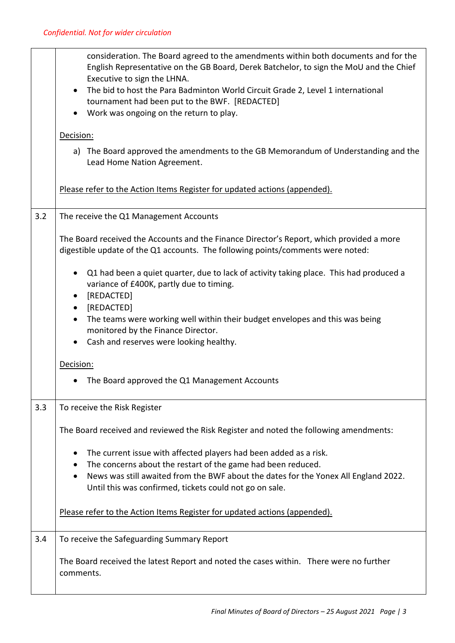|     | consideration. The Board agreed to the amendments within both documents and for the<br>English Representative on the GB Board, Derek Batchelor, to sign the MoU and the Chief<br>Executive to sign the LHNA.<br>The bid to host the Para Badminton World Circuit Grade 2, Level 1 international<br>$\bullet$ |  |  |
|-----|--------------------------------------------------------------------------------------------------------------------------------------------------------------------------------------------------------------------------------------------------------------------------------------------------------------|--|--|
|     | tournament had been put to the BWF. [REDACTED]<br>Work was ongoing on the return to play.                                                                                                                                                                                                                    |  |  |
|     | Decision:                                                                                                                                                                                                                                                                                                    |  |  |
|     | a) The Board approved the amendments to the GB Memorandum of Understanding and the<br>Lead Home Nation Agreement.                                                                                                                                                                                            |  |  |
|     | Please refer to the Action Items Register for updated actions (appended).                                                                                                                                                                                                                                    |  |  |
| 3.2 | The receive the Q1 Management Accounts                                                                                                                                                                                                                                                                       |  |  |
|     | The Board received the Accounts and the Finance Director's Report, which provided a more<br>digestible update of the Q1 accounts. The following points/comments were noted:                                                                                                                                  |  |  |
|     | Q1 had been a quiet quarter, due to lack of activity taking place. This had produced a<br>$\bullet$<br>variance of £400K, partly due to timing.<br>[REDACTED]                                                                                                                                                |  |  |
|     | [REDACTED]<br>$\bullet$<br>The teams were working well within their budget envelopes and this was being<br>$\bullet$                                                                                                                                                                                         |  |  |
|     | monitored by the Finance Director.<br>Cash and reserves were looking healthy.<br>$\bullet$                                                                                                                                                                                                                   |  |  |
|     |                                                                                                                                                                                                                                                                                                              |  |  |
|     | Decision:                                                                                                                                                                                                                                                                                                    |  |  |
|     | The Board approved the Q1 Management Accounts                                                                                                                                                                                                                                                                |  |  |
| 3.3 | To receive the Risk Register                                                                                                                                                                                                                                                                                 |  |  |
|     | The Board received and reviewed the Risk Register and noted the following amendments:                                                                                                                                                                                                                        |  |  |
|     | The current issue with affected players had been added as a risk.<br>$\bullet$                                                                                                                                                                                                                               |  |  |
|     | The concerns about the restart of the game had been reduced.<br>News was still awaited from the BWF about the dates for the Yonex All England 2022.                                                                                                                                                          |  |  |
|     | Until this was confirmed, tickets could not go on sale.                                                                                                                                                                                                                                                      |  |  |
|     | Please refer to the Action Items Register for updated actions (appended).                                                                                                                                                                                                                                    |  |  |
| 3.4 | To receive the Safeguarding Summary Report                                                                                                                                                                                                                                                                   |  |  |
|     | The Board received the latest Report and noted the cases within. There were no further<br>comments.                                                                                                                                                                                                          |  |  |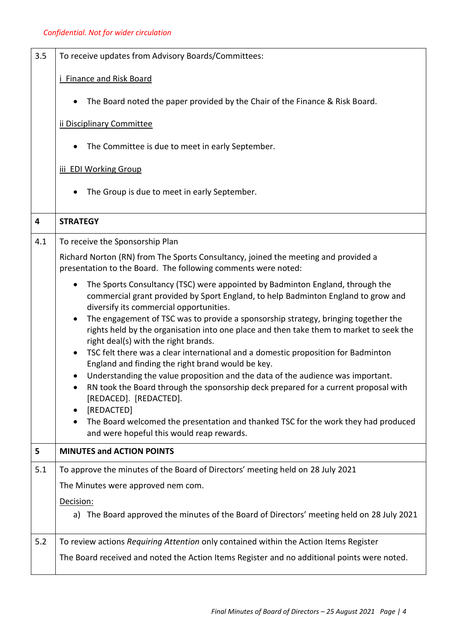| 3.5 | To receive updates from Advisory Boards/Committees:                                                                                                                                                                                                                                                                                                                                                                                                                                                                                                                                                                                                                                                                                                                                                                                                                                                                                                                  |  |
|-----|----------------------------------------------------------------------------------------------------------------------------------------------------------------------------------------------------------------------------------------------------------------------------------------------------------------------------------------------------------------------------------------------------------------------------------------------------------------------------------------------------------------------------------------------------------------------------------------------------------------------------------------------------------------------------------------------------------------------------------------------------------------------------------------------------------------------------------------------------------------------------------------------------------------------------------------------------------------------|--|
|     | <b>Finance and Risk Board</b>                                                                                                                                                                                                                                                                                                                                                                                                                                                                                                                                                                                                                                                                                                                                                                                                                                                                                                                                        |  |
|     | The Board noted the paper provided by the Chair of the Finance & Risk Board.                                                                                                                                                                                                                                                                                                                                                                                                                                                                                                                                                                                                                                                                                                                                                                                                                                                                                         |  |
|     | ii Disciplinary Committee                                                                                                                                                                                                                                                                                                                                                                                                                                                                                                                                                                                                                                                                                                                                                                                                                                                                                                                                            |  |
|     | The Committee is due to meet in early September.                                                                                                                                                                                                                                                                                                                                                                                                                                                                                                                                                                                                                                                                                                                                                                                                                                                                                                                     |  |
|     | iii EDI Working Group                                                                                                                                                                                                                                                                                                                                                                                                                                                                                                                                                                                                                                                                                                                                                                                                                                                                                                                                                |  |
|     | The Group is due to meet in early September.                                                                                                                                                                                                                                                                                                                                                                                                                                                                                                                                                                                                                                                                                                                                                                                                                                                                                                                         |  |
| 4   | <b>STRATEGY</b>                                                                                                                                                                                                                                                                                                                                                                                                                                                                                                                                                                                                                                                                                                                                                                                                                                                                                                                                                      |  |
| 4.1 | To receive the Sponsorship Plan                                                                                                                                                                                                                                                                                                                                                                                                                                                                                                                                                                                                                                                                                                                                                                                                                                                                                                                                      |  |
|     | Richard Norton (RN) from The Sports Consultancy, joined the meeting and provided a<br>presentation to the Board. The following comments were noted:                                                                                                                                                                                                                                                                                                                                                                                                                                                                                                                                                                                                                                                                                                                                                                                                                  |  |
|     | The Sports Consultancy (TSC) were appointed by Badminton England, through the<br>٠<br>commercial grant provided by Sport England, to help Badminton England to grow and<br>diversify its commercial opportunities.<br>The engagement of TSC was to provide a sponsorship strategy, bringing together the<br>$\bullet$<br>rights held by the organisation into one place and then take them to market to seek the<br>right deal(s) with the right brands.<br>TSC felt there was a clear international and a domestic proposition for Badminton<br>$\bullet$<br>England and finding the right brand would be key.<br>Understanding the value proposition and the data of the audience was important.<br>RN took the Board through the sponsorship deck prepared for a current proposal with<br>[REDACED]. [REDACTED].<br>[REDACTED]<br>The Board welcomed the presentation and thanked TSC for the work they had produced<br>and were hopeful this would reap rewards. |  |
| 5   | <b>MINUTES and ACTION POINTS</b>                                                                                                                                                                                                                                                                                                                                                                                                                                                                                                                                                                                                                                                                                                                                                                                                                                                                                                                                     |  |
| 5.1 | To approve the minutes of the Board of Directors' meeting held on 28 July 2021<br>The Minutes were approved nem com.<br>Decision:<br>a) The Board approved the minutes of the Board of Directors' meeting held on 28 July 2021                                                                                                                                                                                                                                                                                                                                                                                                                                                                                                                                                                                                                                                                                                                                       |  |
| 5.2 | To review actions Requiring Attention only contained within the Action Items Register                                                                                                                                                                                                                                                                                                                                                                                                                                                                                                                                                                                                                                                                                                                                                                                                                                                                                |  |
|     | The Board received and noted the Action Items Register and no additional points were noted.                                                                                                                                                                                                                                                                                                                                                                                                                                                                                                                                                                                                                                                                                                                                                                                                                                                                          |  |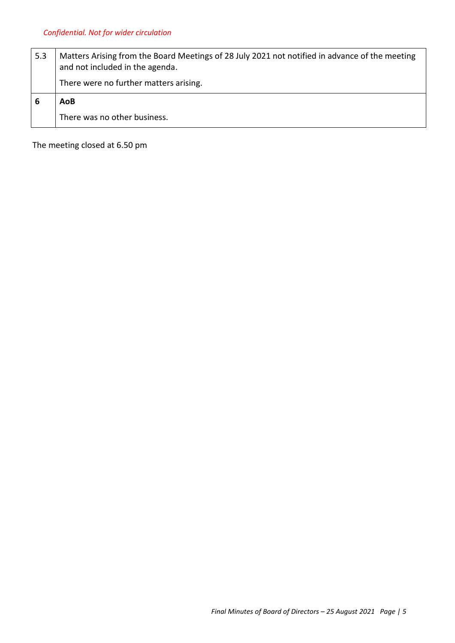| 5.3 | Matters Arising from the Board Meetings of 28 July 2021 not notified in advance of the meeting<br>and not included in the agenda. |  |  |
|-----|-----------------------------------------------------------------------------------------------------------------------------------|--|--|
|     | There were no further matters arising.                                                                                            |  |  |
| ь   | AoB                                                                                                                               |  |  |
|     | There was no other business.                                                                                                      |  |  |

The meeting closed at 6.50 pm